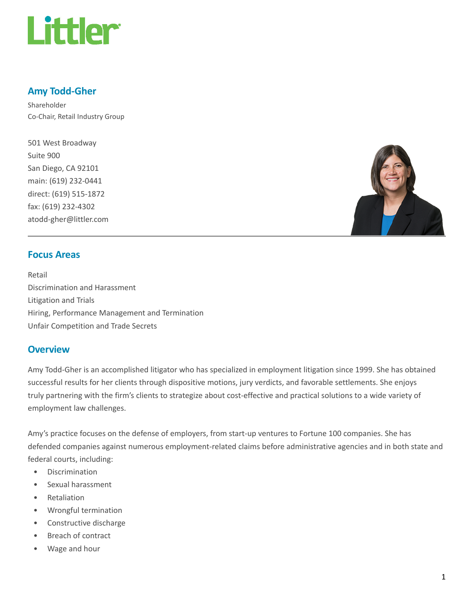

# Amy Todd-Gher

Shareholder Co-Chair, Retail Industry Group

501 West Broadway Suite 900 San Diego, CA 92101 main: (619) 232-0441 direct: (619) 515-1872 fax: (619) 232-4302 atodd-gher@littler.com



## Focus Areas

Retail Discrimination and Harassment Litigation and Trials Hiring, Performance Management and Termination Unfair Competition and Trade Secrets

#### **Overview**

Amy Todd-Gher is an accomplished litigator who has specialized in employment litigation since 1999. She has obtained successful results for her clients through dispositive motions, jury verdicts, and favorable settlements. She enjoys truly partnering with the firm's clients to strategize about cost-effective and practical solutions to a wide variety of employment law challenges.

Amy's practice focuses on the defense of employers, from start-up ventures to Fortune 100 companies. She has defended companies against numerous employment-related claims before administrative agencies and in both state and federal courts, including:

- Discrimination
- Sexual harassment
- Retaliation
- Wrongful termination
- Constructive discharge
- Breach of contract
- Wage and hour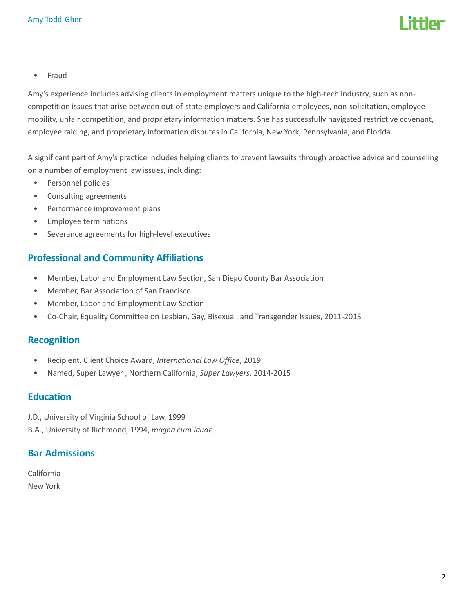

• Fraud

Amy's experience includes advising clients in employment matters unique to the high-tech industry, such as noncompetition issues that arise between out-of-state employers and California employees, non-solicitation, employee mobility, unfair competition, and proprietary information matters. She has successfully navigated restrictive covenant, employee raiding, and proprietary information disputes in California, New York, Pennsylvania, and Florida.

A significant part of Amy's practice includes helping clients to prevent lawsuits through proactive advice and counseling on a number of employment law issues, including:

- Personnel policies
- Consulting agreements
- Performance improvement plans
- Employee terminations
- Severance agreements for high-level executives

#### Professional and Community Affiliations

- Member, Labor and Employment Law Section, San Diego County Bar Association
- Member, Bar Association of San Francisco
- Member, Labor and Employment Law Section
- Co-Chair, Equality Committee on Lesbian, Gay, Bisexual, and Transgender Issues, 2011-2013

#### Recognition

- Recipient, Client Choice Award, International Law Office, 2019
- Named, Super Lawyer , Northern California, Super Lawyers, 2014-2015

## Education

J.D., University of Virginia School of Law, 1999

B.A., University of Richmond, 1994, magna cum laude

#### Bar Admissions

California New York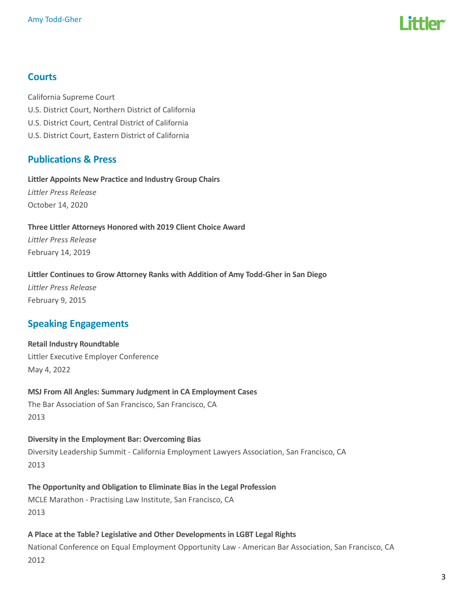

# **Courts**

California Supreme Court U.S. District Court, Northern District of California U.S. District Court, Central District of California U.S. District Court, Eastern District of California

# Publications & Press

Littler Appoints New Practice and Industry Group Chairs Littler Press Release October 14, 2020

Three Littler Attorneys Honored with 2019 Client Choice Award Littler Press Release February 14, 2019

Littler Continues to Grow Attorney Ranks with Addition of Amy Todd-Gher in San Diego

Littler Press Release February 9, 2015

# Speaking Engagements

Retail Industry Roundtable Littler Executive Employer Conference May 4, 2022

MSJ From All Angles: Summary Judgment in CA Employment Cases The Bar Association of San Francisco, San Francisco, CA 2013

Diversity in the Employment Bar: Overcoming Bias Diversity Leadership Summit - California Employment Lawyers Association, San Francisco, CA 2013

The Opportunity and Obligation to Eliminate Bias in the Legal Profession MCLE Marathon - Practising Law Institute, San Francisco, CA

2013

A Place at the Table? Legislative and Other Developments in LGBT Legal Rights National Conference on Equal Employment Opportunity Law - American Bar Association, San Francisco, CA 2012